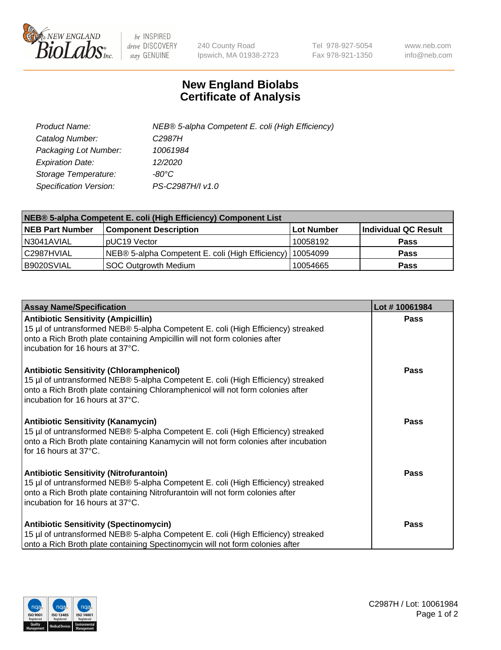

 $be$  INSPIRED drive DISCOVERY stay GENUINE

240 County Road Ipswich, MA 01938-2723 Tel 978-927-5054 Fax 978-921-1350 www.neb.com info@neb.com

## **New England Biolabs Certificate of Analysis**

| Product Name:           | NEB® 5-alpha Competent E. coli (High Efficiency) |
|-------------------------|--------------------------------------------------|
| Catalog Number:         | C <sub>2987</sub> H                              |
| Packaging Lot Number:   | 10061984                                         |
| <b>Expiration Date:</b> | 12/2020                                          |
| Storage Temperature:    | -80°C                                            |
| Specification Version:  | PS-C2987H/I v1.0                                 |

| NEB® 5-alpha Competent E. coli (High Efficiency) Component List |                                                  |                   |                      |  |
|-----------------------------------------------------------------|--------------------------------------------------|-------------------|----------------------|--|
| <b>NEB Part Number</b>                                          | <b>Component Description</b>                     | <b>Lot Number</b> | Individual QC Result |  |
| N3041AVIAL                                                      | pUC19 Vector                                     | 10058192          | <b>Pass</b>          |  |
| C2987HVIAL                                                      | NEB® 5-alpha Competent E. coli (High Efficiency) | 10054099          | <b>Pass</b>          |  |
| B9020SVIAL                                                      | <b>SOC Outgrowth Medium</b>                      | 10054665          | <b>Pass</b>          |  |

| <b>Assay Name/Specification</b>                                                                                                                                                                                                                            | Lot #10061984 |
|------------------------------------------------------------------------------------------------------------------------------------------------------------------------------------------------------------------------------------------------------------|---------------|
| <b>Antibiotic Sensitivity (Ampicillin)</b><br>15 µl of untransformed NEB® 5-alpha Competent E. coli (High Efficiency) streaked<br>onto a Rich Broth plate containing Ampicillin will not form colonies after<br>incubation for 16 hours at 37°C.           | <b>Pass</b>   |
| <b>Antibiotic Sensitivity (Chloramphenicol)</b><br>15 µl of untransformed NEB® 5-alpha Competent E. coli (High Efficiency) streaked<br>onto a Rich Broth plate containing Chloramphenicol will not form colonies after<br>incubation for 16 hours at 37°C. | Pass          |
| Antibiotic Sensitivity (Kanamycin)<br>15 µl of untransformed NEB® 5-alpha Competent E. coli (High Efficiency) streaked<br>onto a Rich Broth plate containing Kanamycin will not form colonies after incubation<br>for 16 hours at 37°C.                    | Pass          |
| <b>Antibiotic Sensitivity (Nitrofurantoin)</b><br>15 µl of untransformed NEB® 5-alpha Competent E. coli (High Efficiency) streaked<br>onto a Rich Broth plate containing Nitrofurantoin will not form colonies after<br>incubation for 16 hours at 37°C.   | <b>Pass</b>   |
| <b>Antibiotic Sensitivity (Spectinomycin)</b><br>15 µl of untransformed NEB® 5-alpha Competent E. coli (High Efficiency) streaked<br>onto a Rich Broth plate containing Spectinomycin will not form colonies after                                         | Pass          |